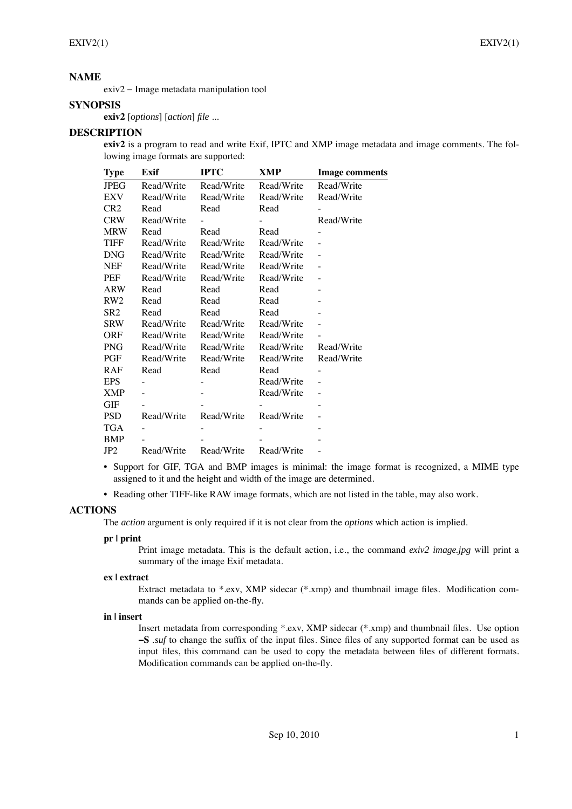# **NAME**

exiv2 − Image metadata manipulation tool

# **SYNOPSIS**

**exiv2** [*options*] [*action*] *file* ...

# **DESCRIPTION**

**exiv2** is a program to read and write Exif, IPTC and XMP image metadata and image comments. The following image formats are supported:

| <b>Type</b>     | Exif       | <b>IPTC</b> | XMP        | <b>Image comments</b> |
|-----------------|------------|-------------|------------|-----------------------|
| <b>JPEG</b>     | Read/Write | Read/Write  | Read/Write | Read/Write            |
| EXV             | Read/Write | Read/Write  | Read/Write | Read/Write            |
| CR <sub>2</sub> | Read       | Read        | Read       |                       |
| <b>CRW</b>      | Read/Write |             |            | Read/Write            |
| <b>MRW</b>      | Read       | Read        | Read       |                       |
| <b>TIFF</b>     | Read/Write | Read/Write  | Read/Write |                       |
| <b>DNG</b>      | Read/Write | Read/Write  | Read/Write |                       |
| <b>NEF</b>      | Read/Write | Read/Write  | Read/Write |                       |
| PEF             | Read/Write | Read/Write  | Read/Write |                       |
| ARW             | Read       | Read        | Read       |                       |
| RW2             | Read       | Read        | Read       |                       |
| SR <sub>2</sub> | Read       | Read        | Read       |                       |
| <b>SRW</b>      | Read/Write | Read/Write  | Read/Write |                       |
| <b>ORF</b>      | Read/Write | Read/Write  | Read/Write |                       |
| <b>PNG</b>      | Read/Write | Read/Write  | Read/Write | Read/Write            |
| PGF             | Read/Write | Read/Write  | Read/Write | Read/Write            |
| RAF             | Read       | Read        | Read       |                       |
| <b>EPS</b>      |            |             | Read/Write |                       |
| <b>XMP</b>      |            |             | Read/Write |                       |
| <b>GIF</b>      |            |             |            |                       |
| <b>PSD</b>      | Read/Write | Read/Write  | Read/Write |                       |
| <b>TGA</b>      |            |             |            |                       |
| <b>BMP</b>      |            |             |            |                       |
| JP2             | Read/Write | Read/Write  | Read/Write |                       |

• Support for GIF, TGA and BMP images is minimal: the image format is recognized, a MIME type assigned to it and the height and width of the image are determined.

• Reading other TIFF-like RAW image formats, which are not listed in the table, may also work.

# **ACTIONS**

The *action* argument is only required if it is not clear from the *options* which action is implied.

### **pr | print**

Print image metadata. This is the default action, i.e., the command *exiv2 image.jpg* will print a summary of the image Exif metadata.

### **ex | extract**

Extract metadata to \*.exv, XMP sidecar (\*.xmp) and thumbnail image files. Modification commands can be applied on-the-fly.

### **in | insert**

Insert metadata from corresponding \*.exv, XMP sidecar (\*.xmp) and thumbnail files. Use option **−S** *.suf* to change the suffix of the input files. Since files of any supported format can be used as input files, this command can be used to copy the metadata between files of different formats. Modification commands can be applied on-the-fly.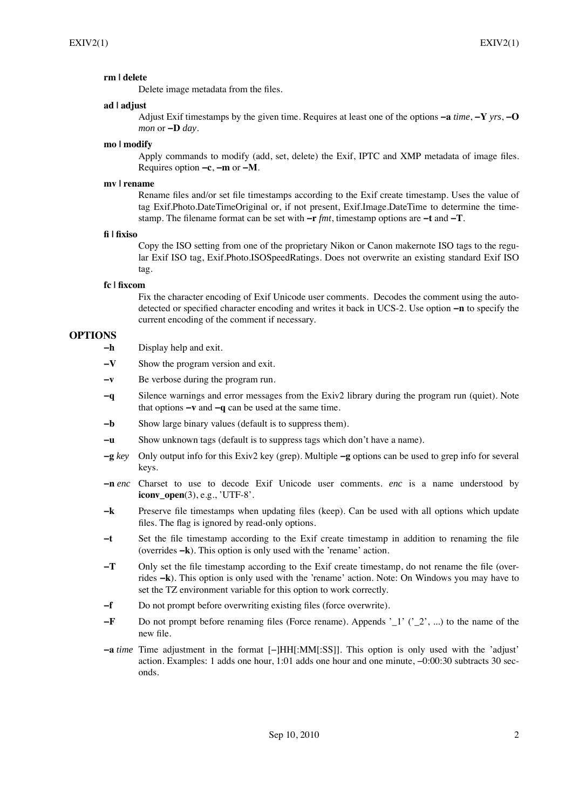### **rm | delete**

Delete image metadata from the files.

### **ad | adjust**

Adjust Exif timestamps by the given time. Requires at least one of the options **−a** *time*, **−Y** *yrs*, **−O** *mon* or **−D** *day*.

#### **mo | modify**

Apply commands to modify (add, set, delete) the Exif, IPTC and XMP metadata of image files. Requires option **−c**, **−m** or **−M**.

### **mv | rename**

Rename files and/or set file timestamps according to the Exif create timestamp. Uses the value of tag Exif.Photo.DateTimeOriginal or, if not present, Exif.Image.DateTime to determine the timestamp. The filename format can be set with **−r** *fmt*, timestamp options are **−t** and **−T**.

#### **fi | fixiso**

Copy the ISO setting from one of the proprietary Nikon or Canon makernote ISO tags to the regular Exif ISO tag, Exif.Photo.ISOSpeedRatings. Does not overwrite an existing standard Exif ISO tag.

### **fc | fixcom**

Fix the character encoding of Exif Unicode user comments. Decodes the comment using the autodetected or specified character encoding and writes it back in UCS-2. Use option **−n** to specify the current encoding of the comment if necessary.

# **OPTIONS**

- **−h** Display help and exit.
- **−V** Show the program version and exit.
- **−v** Be verbose during the program run.
- **−q** Silence warnings and error messages from the Exiv2 library during the program run (quiet). Note that options **−v** and **−q** can be used at the same time.
- **−b** Show large binary values (default is to suppress them).
- **−u** Show unknown tags (default is to suppress tags which don't have a name).
- **−g** *key* Only output info for this Exiv2 key (grep). Multiple **−g** options can be used to grep info for several keys.
- **−n** *enc* Charset to use to decode Exif Unicode user comments. *enc* is a name understood by **iconv\_open**(3), e.g., 'UTF-8'.
- **−k** Preserve file timestamps when updating files (keep). Can be used with all options which update files. The flag is ignored by read-only options.
- **−t** Set the file timestamp according to the Exif create timestamp in addition to renaming the file (overrides **−k**). This option is only used with the 'rename' action.
- **−T** Only set the file timestamp according to the Exif create timestamp, do not rename the file (overrides **−k**). This option is only used with the 'rename' action. Note: On Windows you may have to set the TZ environment variable for this option to work correctly.
- **−f** Do not prompt before overwriting existing files (force overwrite).
- **−F** Do not prompt before renaming files (Force rename). Appends '\_1' ('\_2', ...) to the name of the new file.
- **−a** *time* Time adjustment in the format [−]HH[:MM[:SS]]. This option is only used with the 'adjust' action. Examples: 1 adds one hour, 1:01 adds one hour and one minute, −0:00:30 subtracts 30 seconds.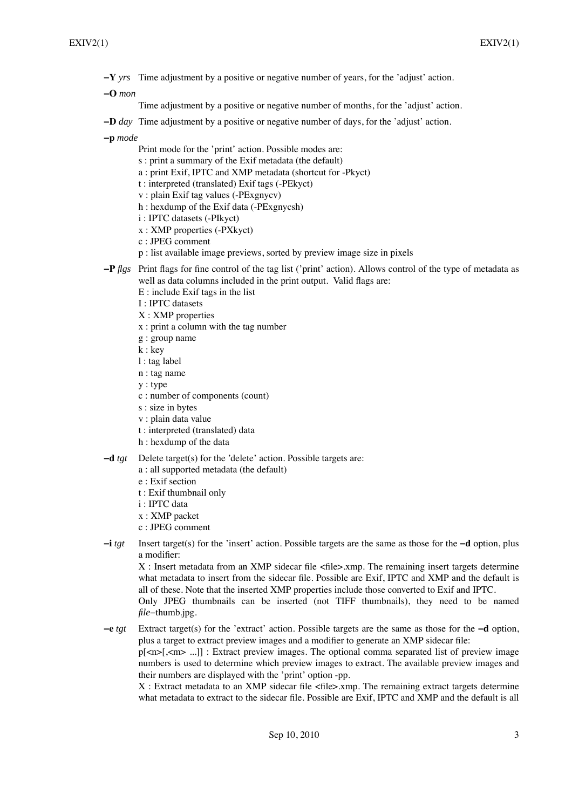**−Y** *yrs* Time adjustment by a positive or negative number of years, for the 'adjust' action.

**−O** *mon*

Time adjustment by a positive or negative number of months, for the 'adjust' action.

**−D** *day* Time adjustment by a positive or negative number of days, for the 'adjust' action.

**−p** *mode*

- Print mode for the 'print' action. Possible modes are:
- s : print a summary of the Exif metadata (the default)
- a : print Exif, IPTC and XMP metadata (shortcut for -Pkyct)
- t : interpreted (translated) Exif tags (-PEkyct)
- v : plain Exif tag values (-PExgnycv)
- h : hexdump of the Exif data (-PExgnycsh)
- i : IPTC datasets (-PIkyct)
- x : XMP properties (-PXkyct)
- c : JPEG comment
- p : list available image previews, sorted by preview image size in pixels
- **−P** *flgs* Print flags for fine control of the tag list ('print' action). Allows control of the type of metadata as well as data columns included in the print output. Valid flags are:
	- E : include Exif tags in the list
	- I : IPTC datasets
	- X : XMP properties
	- x : print a column with the tag number
	- g : group name
	- k : key
	- l : tag label
	- n : tag name
	- y : type
	- c : number of components (count)
	- s : size in bytes
	- v : plain data value
	- t : interpreted (translated) data
	- h : hexdump of the data
- **−d** *tgt* Delete target(s) for the 'delete' action. Possible targets are:
	- a : all supported metadata (the default)
	- e : Exif section
	- t : Exif thumbnail only
	- i : IPTC data
	- x : XMP packet
	- c : JPEG comment
- **−i** *tgt* Insert target(s) for the 'insert' action. Possible targets are the same as those for the **−d** option, plus a modifier:

X : Insert metadata from an XMP sidecar file <file>.xmp. The remaining insert targets determine what metadata to insert from the sidecar file. Possible are Exif, IPTC and XMP and the default is all of these. Note that the inserted XMP properties include those converted to Exif and IPTC. Only JPEG thumbnails can be inserted (not TIFF thumbnails), they need to be named *file*−thumb.jpg.

**−e** *tgt* Extract target(s) for the 'extract' action. Possible targets are the same as those for the **−d** option, plus a target to extract preview images and a modifier to generate an XMP sidecar file: p[<n>[,<m> ...]] : Extract preview images. The optional comma separated list of preview image numbers is used to determine which preview images to extract. The available preview images and their numbers are displayed with the 'print' option -pp.

X : Extract metadata to an XMP sidecar file <file>.xmp. The remaining extract targets determine what metadata to extract to the sidecar file. Possible are Exif, IPTC and XMP and the default is all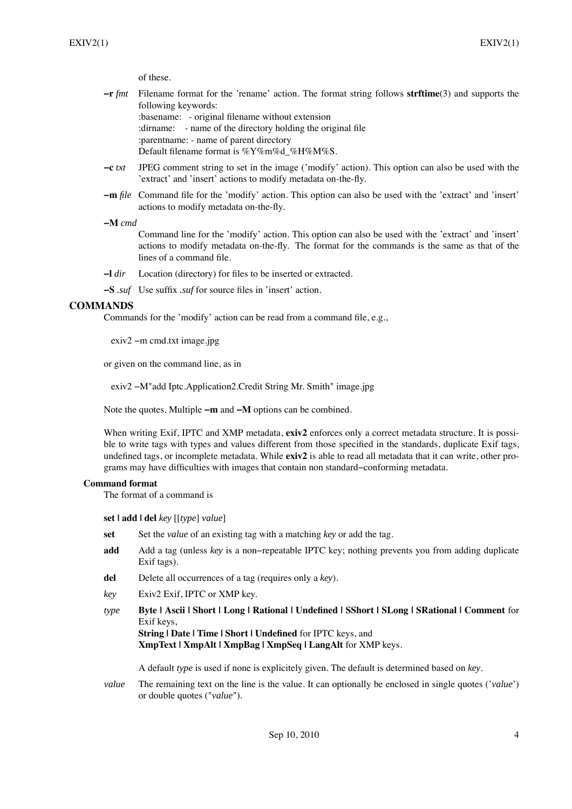of these.

- **−r** *fmt* Filename format for the 'rename' action. The format string follows **strftime**(3) and supports the following keywords:
	- :basename: original filename without extension

:dirname: - name of the directory holding the original file

:parentname: - name of parent directory

- Default filename format is %Y%m%d\_%H%M%S.
- **−c** *txt* JPEG comment string to set in the image ('modify' action). This option can also be used with the 'extract' and 'insert' actions to modify metadata on-the-fly.
- **−m** *file* Command file for the 'modify' action. This option can also be used with the 'extract' and 'insert' actions to modify metadata on-the-fly.

#### **−M** *cmd*

Command line for the 'modify' action. This option can also be used with the 'extract' and 'insert' actions to modify metadata on-the-fly. The format for the commands is the same as that of the lines of a command file.

**−l** *dir* Location (directory) for files to be inserted or extracted.

**−S** *.suf* Use suffix *.suf* for source files in 'insert' action.

### **COMMANDS**

Commands for the 'modify' action can be read from a command file, e.g.,

exiv2 −m cmd.txt image.jpg

or given on the command line, as in

exiv2 −M"add Iptc.Application2.Credit String Mr. Smith" image.jpg

Note the quotes. Multiple **−m** and **−M** options can be combined.

When writing Exif, IPTC and XMP metadata, **exiv2** enforces only a correct metadata structure. It is possible to write tags with types and values different from those specified in the standards, duplicate Exif tags, undefined tags, or incomplete metadata. While **exiv2** is able to read all metadata that it can write, other programs may have difficulties with images that contain non standard−conforming metadata.

### **Command format**

The format of a command is

**set | add | del** *key* [[*type*] *value*]

- **set** Set the *value* of an existing tag with a matching *key* or add the tag.
- **add** Add a tag (unless *key* is a non−repeatable IPTC key; nothing prevents you from adding duplicate Exif tags).
- **del** Delete all occurrences of a tag (requires only a *key*).
- *key* Exiv2 Exif, IPTC or XMP key.
- *type* **Byte | Ascii | Short | Long | Rational | Undefined | SShort | SLong | SRational | Comment** for Exif keys,

**String | Date | Time | Short | Undefined** for IPTC keys, and **XmpText | XmpAlt | XmpBag | XmpSeq | LangAlt** for XMP keys.

A default *type* is used if none is explicitely given. The default is determined based on *key*.

*value* The remaining text on the line is the value. It can optionally be enclosed in single quotes ('*value*') or double quotes ("*value*").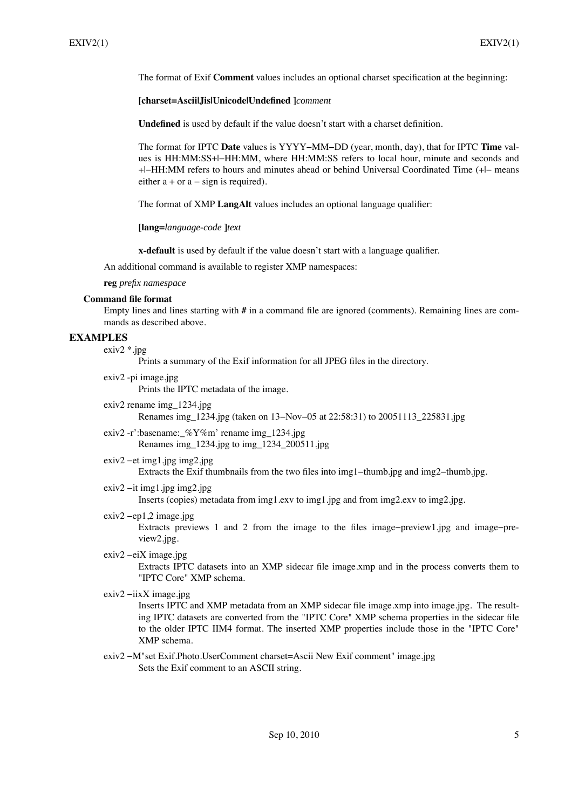The format of Exif **Comment** values includes an optional charset specification at the beginning:

### **[charset=Ascii|Jis|Unicode|Undefined ]***comment*

**Undefined** is used by default if the value doesn't start with a charset definition.

The format for IPTC **Date** values is YYYY−MM−DD (year, month, day), that for IPTC **Time** values is HH:MM:SS+|−HH:MM, where HH:MM:SS refers to local hour, minute and seconds and +|−HH:MM refers to hours and minutes ahead or behind Universal Coordinated Time (+|− means either  $a + or a - sign is required$ .

The format of XMP **LangAlt** values includes an optional language qualifier:

**[lang=***language-code* **]***text*

**x-default** is used by default if the value doesn't start with a language qualifier.

An additional command is available to register XMP namespaces:

#### **reg** *prefix namespace*

#### **Command file format**

Empty lines and lines starting with **#** in a command file are ignored (comments). Remaining lines are commands as described above.

# **EXAMPLES**

 $exiv2$  \*.jpg

Prints a summary of the Exif information for all JPEG files in the directory.

exiv2 -pi image.jpg Prints the IPTC metadata of the image.

exiv2 rename img\_1234.jpg

Renames img\_1234.jpg (taken on 13−Nov−05 at 22:58:31) to 20051113\_225831.jpg

exiv2 -r':basename:\_%Y%m' rename img\_1234.jpg Renames img\_1234.jpg to img\_1234\_200511.jpg

#### exiv2 −et img1.jpg img2.jpg

Extracts the Exif thumbnails from the two files into img1−thumb.jpg and img2−thumb.jpg.

exiv2 −it img1.jpg img2.jpg

Inserts (copies) metadata from img1.exv to img1.jpg and from img2.exv to img2.jpg.

exiv2 −ep1,2 image.jpg

Extracts previews 1 and 2 from the image to the files image−preview1.jpg and image−preview2.jpg.

exiv2 −eiX image.jpg

Extracts IPTC datasets into an XMP sidecar file image.xmp and in the process converts them to "IPTC Core" XMP schema.

exiv2 −iixX image.jpg

Inserts IPTC and XMP metadata from an XMP sidecar file image.xmp into image.jpg. The resulting IPTC datasets are converted from the "IPTC Core" XMP schema properties in the sidecar file to the older IPTC IIM4 format. The inserted XMP properties include those in the "IPTC Core" XMP schema.

exiv2 −M"set Exif.Photo.UserComment charset=Ascii New Exif comment" image.jpg Sets the Exif comment to an ASCII string.